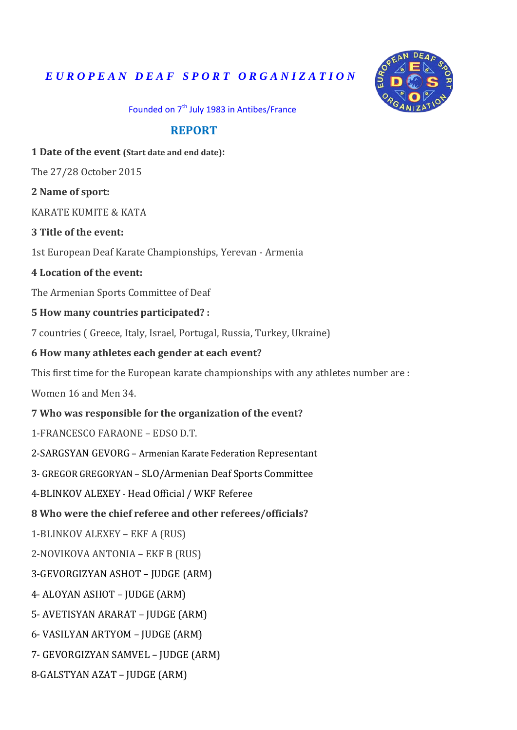# *E U R O P E A N D E A F S P O R T O R G A N I Z A T I O N*



Founded on 7<sup>th</sup> July 1983 in Antibes/France

### **REPORT**

**1 Date of the event (Start date and end date):** 

The 27/28 October 2015

**2 Name of sport:**

KARATE KUMITE & KATA

**3 Title of the event:**

1st European Deaf Karate Championships, Yerevan - Armenia

#### **4 Location of the event:**

The Armenian Sports Committee of Deaf

#### **5 How many countries participated? :**

7 countries ( Greece, Italy, Israel, Portugal, Russia, Turkey, Ukraine)

#### **6 How many athletes each gender at each event?**

This first time for the European karate championships with any athletes number are :

Women 16 and Men 34.

#### **7 Who was responsible for the organization of the event?**

1-FRANCESCO FARAONE – EDSO D.T.

2-SARGSYAN GEVORG – Armenian Karate Federation Representant

3- GREGOR GREGORYAN – SLO/Armenian Deaf Sports Committee

4-BLINKOV ALEXEY - Head Official / WKF Referee

#### **8 Who were the chief referee and other referees/officials?**

1-BLINKOV ALEXEY – EKF A (RUS)

2-NOVIKOVA ANTONIA – EKF B (RUS)

3-GEVORGIZYAN ASHOT – JUDGE (ARM)

4- ALOYAN ASHOT – JUDGE (ARM)

5- AVETISYAN ARARAT – JUDGE (ARM)

6- VASILYAN ARTYOM – JUDGE (ARM)

7- GEVORGIZYAN SAMVEL – JUDGE (ARM)

8-GALSTYAN AZAT – JUDGE (ARM)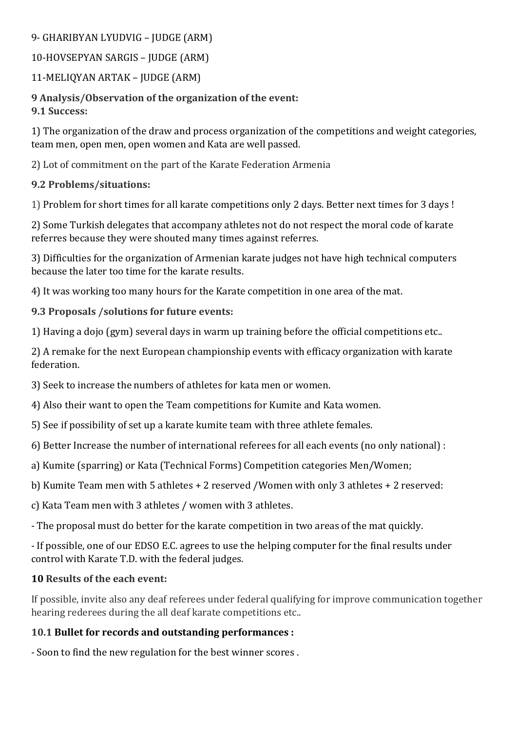### 9- GHARIBYAN LYUDVIG – JUDGE (ARM)

# 10-HOVSEPYAN SARGIS – JUDGE (ARM)

# 11-MELIQYAN ARTAK – JUDGE (ARM)

### **9 Analysis/Observation of the organization of the event: 9.1 Success:**

1) The organization of the draw and process organization of the competitions and weight categories, team men, open men, open women and Kata are well passed.

2) Lot of commitment on the part of the Karate Federation Armenia

# **9.2 Problems/situations:**

1) Problem for short times for all karate competitions only 2 days. Better next times for 3 days !

2) Some Turkish delegates that accompany athletes not do not respect the moral code of karate referres because they were shouted many times against referres.

3) Difficulties for the organization of Armenian karate judges not have high technical computers because the later too time for the karate results.

4) It was working too many hours for the Karate competition in one area of the mat.

# **9.3 Proposals /solutions for future events:**

1) Having a dojo (gym) several days in warm up training before the official competitions etc..

2) A remake for the next European championship events with efficacy organization with karate federation.

3) Seek to increase the numbers of athletes for kata men or women.

4) Also their want to open the Team competitions for Kumite and Kata women.

5) See if possibility of set up a karate kumite team with three athlete females.

6) Better Increase the number of international referees for all each events (no only national) :

a) Kumite (sparring) or Kata (Technical Forms) Competition categories Men/Women;

b) Kumite Team men with 5 athletes + 2 reserved /Women with only 3 athletes + 2 reserved:

c) Kata Team men with 3 athletes / women with 3 athletes.

- The proposal must do better for the karate competition in two areas of the mat quickly.

- If possible, one of our EDSO E.C. agrees to use the helping computer for the final results under control with Karate T.D. with the federal judges.

# **10 Results of the each event:**

If possible, invite also any deaf referees under federal qualifying for improve communication together hearing rederees during the all deaf karate competitions etc..

# **10.1 Bullet for records and outstanding performances :**

- Soon to find the new regulation for the best winner scores .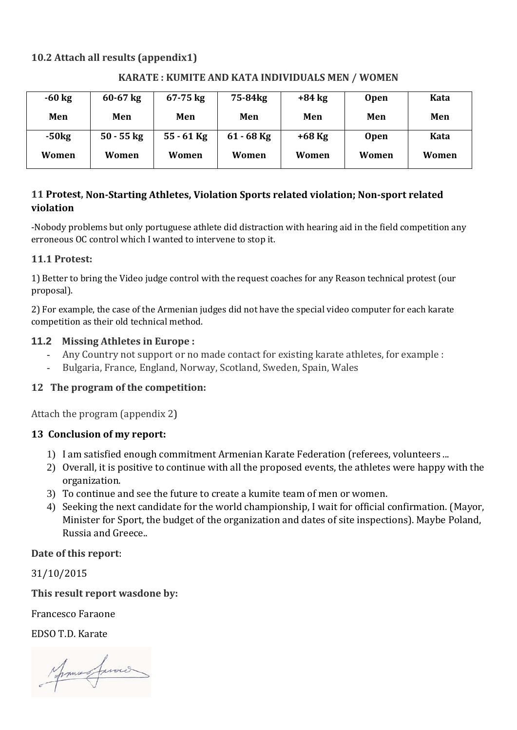### **10.2 Attach all results (appendix1)**

| $-60$ kg | $60 - 67$ kg | $67 - 75$ kg | 75-84 <sub>kg</sub> | $+84$ kg | <b>Open</b> | Kata  |
|----------|--------------|--------------|---------------------|----------|-------------|-------|
| Men      | Men          | Men          | Men                 | Men      | Men         | Men   |
| $-50kg$  | $50 - 55$ kg | $55 - 61$ Kg | $61 - 68$ Kg        | $+68$ Kg | <b>Open</b> | Kata  |
| Women    | Women        | Women        | Women               | Women    | Women       | Women |

#### **KARATE : KUMITE AND KATA INDIVIDUALS MEN / WOMEN**

### **11 Protest, Non-Starting Athletes, Violation Sports related violation; Non-sport related violation**

-Nobody problems but only portuguese athlete did distraction with hearing aid in the field competition any erroneous OC control which I wanted to intervene to stop it.

### **11.1 Protest:**

1) Better to bring the Video judge control with the request coaches for any Reason technical protest (our proposal).

2) For example, the case of the Armenian judges did not have the special video computer for each karate competition as their old technical method.

### **11.2 Missing Athletes in Europe :**

- Any Country not support or no made contact for existing karate athletes, for example :
- Bulgaria, France, England, Norway, Scotland, Sweden, Spain, Wales

### **12 The program of the competition:**

Attach the program (appendix 2)

### **13 Conclusion of my report:**

- 1) I am satisfied enough commitment Armenian Karate Federation (referees, volunteers ...
- 2) Overall, it is positive to continue with all the proposed events, the athletes were happy with the organization.
- 3) To continue and see the future to create a kumite team of men or women.
- 4) Seeking the next candidate for the world championship, I wait for official confirmation. (Mayor, Minister for Sport, the budget of the organization and dates of site inspections). Maybe Poland, Russia and Greece..

### **Date of this report**:

31/10/2015

**This result report wasdone by:**

Francesco Faraone

EDSO T.D. Karate

James facoco